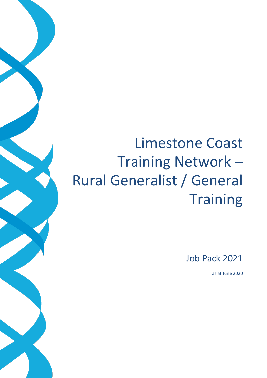# Limestone Coast Training Network – Rural Generalist / General **Training**

Job Pack 2021

as at June 2020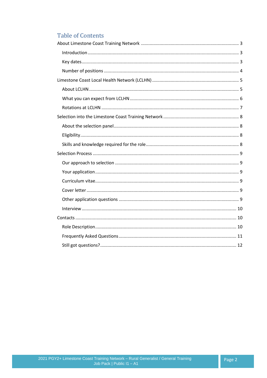# **Table of Contents**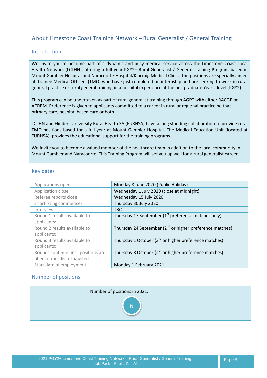# <span id="page-2-3"></span><span id="page-2-0"></span>About Limestone Coast Training Network – Rural Generalist / General Training

# <span id="page-2-1"></span>Introduction

We invite you to become part of a dynamic and busy medical service across the Limestone Coast Local Health Network (LCLHN), offering a full year PGY2+ Rural Generalist / General Training Program based in Mount Gambier Hospital and Naracoorte Hospital/Kincraig Medical Clinic. The positions are specially aimed at Trainee Medical Officers (TMO) who have just completed an internship and are seeking to work in rural general practice or rural general training in a hospital experience at the postgraduate Year 2 level (PGY2).

This program can be undertaken as part of rural generalist training through AGPT with either RACGP or ACRRM. Preference is given to applicants committed to a career in rural or regional practice be that primary care, hospital based care or both.

LCLHN and Flinders University Rural Health SA (FURHSA) have a long standing collaboration to provide rural TMO positions based for a full year at Mount Gambier Hospital. The Medical Education Unit (located at FURHSA), provides the educational support for the training programs.

We invite you to become a valued member of the healthcare team in addition to the local community in Mount Gambier and Naracoorte. This Training Program will set you up well for a rural generalist career.

#### <span id="page-2-2"></span>Key dates

| Applications open:                  | Monday 8 June 2020 (Public Holiday)                                |
|-------------------------------------|--------------------------------------------------------------------|
| Application close:                  | Wednesday 1 July 2020 (close at midnight)                          |
| Referee reports close:              | Wednesday 15 July 2020                                             |
| Shortlisting commences:             | Thursday 30 July 2020                                              |
| Interviews:                         | <b>TBC</b>                                                         |
| Round 1 results available to        | Thursday 17 September (1 <sup>st</sup> preference matches only)    |
| applicants:                         |                                                                    |
| Round 2 results available to        | Thursday 24 September $(2^{nd}$ or higher preference matches).     |
| applicants:                         |                                                                    |
| Round 3 results available to        | Thursday 1 October ( $3rd$ or higher preference matches)           |
| applicants:                         |                                                                    |
| Rounds continue until positions are | Thursday 8 October (4 <sup>th</sup> or higher preference matches). |
| filled or rank list exhausted       |                                                                    |
| Start date of employment:           | Monday 1 February 2021                                             |

#### Number of positions

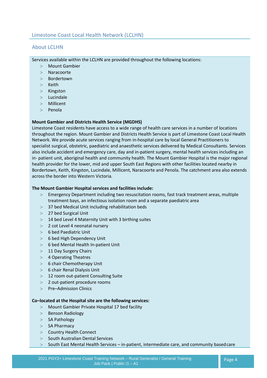# <span id="page-3-1"></span><span id="page-3-0"></span>About LCLHN

Services available within the LCLHN are provided throughout the following locations:

- Mount Gambier
- Naracoorte
- Bordertown
- $>$  Keith
- $>$  Kingston
- $>$  Lucindale
- Millicent
- $>$  Penola

#### **Mount Gambier and Districts Health Service (MGDHS)**

Limestone Coast residents have access to a wide range of health care services in a number of locations throughout the region. Mount Gambier and Districts Health Service is part of Limestone Coast Local Health Network. We provide acute services ranging from in-hospital care by local General Practitioners to specialist surgical, obstetric, paediatric and anaesthetic services delivered by Medical Consultants. Services also include accident and emergency care, day and in-patient surgery, mental health services including an in- patient unit, aboriginal health and community health. The Mount Gambier Hospital is the major regional health provider for the lower, mid and upper South East Regions with other facilities located nearby in Bordertown, Keith, Kingston, Lucindale, Millicent, Naracoorte and Penola. The catchment area also extends across the border into Western Victoria.

#### **The Mount Gambier Hospital services and facilities include:**

- Emergency Department including two resuscitation rooms, fast track treatment areas, multiple treatment bays, an infectious isolation room and a separate paediatric area
- 37 bed Medical Unit including rehabilitation beds
- 27 bed Surgical Unit
- $>$  14 bed Level 4 Maternity Unit with 3 birthing suites
- 2 cot Level 4 neonatal nursery
- $> 6$  bed Paediatric Unit
- 6 bed High Dependency Unit
- 6 bed Mental Health In-patient Unit
- $>11$  Day Surgery Chairs
- 4 Operating Theatres
- $> 6$  chair Chemotherapy Unit
- $> 6$  chair Renal Dialysis Unit
- > 12 room out-patient Consulting Suite
- 2 out-patient procedure rooms
- $\geq$  Pre–Admission Clinics

#### **Co–located at the Hospital site are the following services:**

- Mount Gambier Private Hospital 17 bed facility
- $>$  Benson Radiology
- $>$  SA Pathology
- $>$  SA Pharmacy
- > Country Health Connect
- $>$  South Australian Dental Services
- $>$  South East Mental Health Services in-patient, intermediate care, and community based care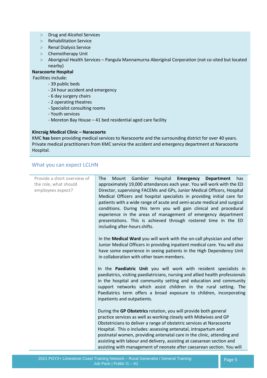- > Drug and Alcohol Services
- Rehabilitation Service
- > Renal Dialysis Service
- > Chemotherapy Unit
- Aboriginal Health Services Pangula Mannamurna Aboriginal Corporation (not co-sited but located nearby)

#### **Naracoorte Hospital**

Facilities include:

- 39 public beds
- 24 hour accident and emergency
- 6 day surgery chairs
- 2 operating theatres
- Specialist consulting rooms
- Youth services
- Moreton Bay House 41 bed residential aged care facility

#### **Kincraig Medical Clinic – Naracoorte**

KMC **has** been providing medical services to Naracoorte and the surrounding district for over 40 years. Private medical practitioners from KMC service the accident and emergency department at Naracoorte Hospital.

# <span id="page-4-0"></span>What you can expect LCLHN

| Provide a short overview of<br>the role, what should<br>employees expect? | Hospital Emergency<br>Gambier<br><b>Department</b><br><b>The</b><br>Mount<br>has<br>approximately 19,000 attendances each year. You will work with the ED<br>Director, supervising FACEMs and GPs, Junior Medical Officers, Hospital<br>Medical Officers and hospital specialists in providing initial care for<br>patients with a wide range of acute and semi-acute medical and surgical<br>conditions. During this term you will gain clinical and procedural<br>experience in the areas of management of emergency department<br>presentations. This is achieved through rostered time in the ED<br>including after-hours shifts. |  |
|---------------------------------------------------------------------------|---------------------------------------------------------------------------------------------------------------------------------------------------------------------------------------------------------------------------------------------------------------------------------------------------------------------------------------------------------------------------------------------------------------------------------------------------------------------------------------------------------------------------------------------------------------------------------------------------------------------------------------|--|
|                                                                           | In the Medical Ward you will work with the on-call physician and other<br>Junior Medical Officers in providing inpatient medical care. You will also<br>have some experience in seeing patients in the High Dependency Unit<br>in collaboration with other team members.                                                                                                                                                                                                                                                                                                                                                              |  |
|                                                                           | In the Paediatric Unit you will work with resident specialists in<br>paediatrics, visiting paediatricians, nursing and allied health professionals<br>in the hospital and community setting and education and community<br>support networks which assist children in the rural setting. The<br>Paediatrics term offers a broad exposure to children, incorporating<br>inpatients and outpatients.                                                                                                                                                                                                                                     |  |
|                                                                           | During the GP Obstetrics rotation, you will provide both general<br>practice services as well as working closely with Midwives and GP<br>Obstetricians to deliver a range of obstetric services at Naracoorte<br>Hospital. This o includes: assessing antenatal, intrapartum and<br>postnatal women, providing antenatal care in the clinic, attending and<br>assisting with labour and delivery, assisting at caesarean section and<br>assisting with management of neonate after caesarean section. You will                                                                                                                        |  |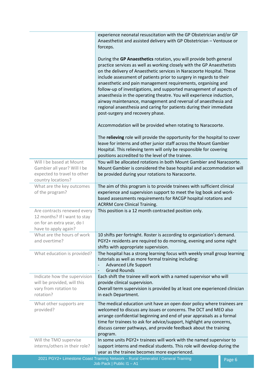|                                                                                                                   | experience neonatal resuscitation with the GP Obstetrician and/or GP<br>Anaesthetist and assisted delivery with GP Obstetrician - Ventouse or<br>forceps.                                                                                                                                                                                                                                                                                                                                                                                                                                                                                                                                |        |
|-------------------------------------------------------------------------------------------------------------------|------------------------------------------------------------------------------------------------------------------------------------------------------------------------------------------------------------------------------------------------------------------------------------------------------------------------------------------------------------------------------------------------------------------------------------------------------------------------------------------------------------------------------------------------------------------------------------------------------------------------------------------------------------------------------------------|--------|
|                                                                                                                   | During the GP Anaesthetics rotation, you will provide both general<br>practice services as well as working closely with the GP Anaesthetists<br>on the delivery of Anaesthetic services in Naracoorte Hospital. These<br>include assessment of patients prior to surgery in regards to their<br>anaesthetic and pain management requirements, organising and<br>follow-up of investigations, and supported management of aspects of<br>anaesthesia in the operating theatre. You will experience induction,<br>airway maintenance, management and reversal of anaesthesia and<br>regional anaesthesia and caring for patients during their immediate<br>post-surgery and recovery phase. |        |
|                                                                                                                   | Accommodation will be provided when rotating to Naracoorte.                                                                                                                                                                                                                                                                                                                                                                                                                                                                                                                                                                                                                              |        |
|                                                                                                                   | The relieving role will provide the opportunity for the hospital to cover<br>leave for interns and other junior staff across the Mount Gambier<br>Hospital. This relieving term will only be responsible for covering<br>positions accredited to the level of the trainee.                                                                                                                                                                                                                                                                                                                                                                                                               |        |
| Will I be based at Mount<br>Gambier all year? Will I be<br>expected to travel to other<br>country locations?      | You will be allocated rotations in both Mount Gambier and Naracoorte.<br>Mount Gambier is considered the base hospital and accommodation will<br>be provided during your rotations to Naracoorte.                                                                                                                                                                                                                                                                                                                                                                                                                                                                                        |        |
| What are the key outcomes<br>of the program?                                                                      | The aim of this program is to provide trainees with sufficient clinical<br>experience and supervision support to meet the log book and work-<br>based assessments requirements for RACGP hospital rotations and<br><b>ACRRM Core Clinical Training.</b>                                                                                                                                                                                                                                                                                                                                                                                                                                  |        |
| Are contracts renewed every<br>12 months? If I want to stay<br>on for an extra year, do I<br>have to apply again? | This position is a 12 month contracted position only.                                                                                                                                                                                                                                                                                                                                                                                                                                                                                                                                                                                                                                    |        |
| What are the hours of work<br>and overtime?                                                                       | 10 shifts per fortnight. Roster is according to organization's demand.<br>PGY2+ residents are required to do morning, evening and some night<br>shifts with appropriate supervision.                                                                                                                                                                                                                                                                                                                                                                                                                                                                                                     |        |
| What education is provided?                                                                                       | The hospital has a strong learning focus with weekly small group learning<br>tutorials as well as more formal training including:<br><b>Advanced Life Support</b><br><b>Grand Rounds</b>                                                                                                                                                                                                                                                                                                                                                                                                                                                                                                 |        |
| Indicate how the supervision<br>will be provided, will this<br>vary from rotation to<br>rotation?                 | Each shift the trainee will work with a named supervisor who will<br>provide clinical supervision.<br>Overall term supervision is provided by at least one experienced clinician<br>in each Department.                                                                                                                                                                                                                                                                                                                                                                                                                                                                                  |        |
| What other supports are<br>provided?                                                                              | The medical education unit have an open door policy where trainees are<br>welcomed to discuss any issues or concerns. The DCT and MEO also<br>arrange confidential beginning and end of year appraisals as a formal<br>time for trainees to ask for advice/support, highlight any concerns,<br>discuss career pathways, and provide feedback about the training<br>program.                                                                                                                                                                                                                                                                                                              |        |
| Will the TMO supervise<br>interns/others in their role?                                                           | In some units PGY2+ trainees will work with the named supervisor to<br>support interns and medical students. This role will develop during the<br>year as the trainee becomes more experienced.                                                                                                                                                                                                                                                                                                                                                                                                                                                                                          |        |
|                                                                                                                   | 2021 PGY2+ Limestone Coast Training Network - Rural Generalist / General Training                                                                                                                                                                                                                                                                                                                                                                                                                                                                                                                                                                                                        | Page 6 |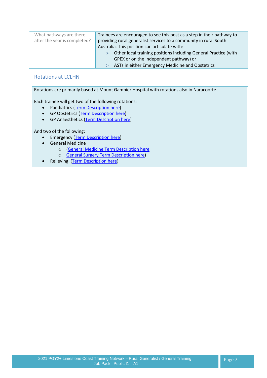| What pathways are there      | Trainees are encouraged to see this post as a step in their pathway to |
|------------------------------|------------------------------------------------------------------------|
| after the year is completed? | providing rural generalist services to a community in rural South      |
|                              | Australia. This position can articulate with:                          |
|                              | Other local training positions including General Practice (with        |
|                              | GPEX or on the independent pathway) or                                 |
|                              | ASTs in either Emergency Medicine and Obstetrics                       |

# <span id="page-6-0"></span>Rotations at LCLHN

Rotations are primarily based at Mount Gambier Hospital with rotations also in Naracoorte.

Each trainee will get two of the following rotations:

- Paediatrics [\(Term Description](https://www.samet.org.au/wp-content/uploads/2020/06/Mt-Gambier_Paediatrics-Term-Description.pdf) here)
- GP Obstetrics [\(Term Description](https://www.samet.org.au/wp-content/uploads/2020/06/Naracoorte_Kincraig-GP-Obstetrics-Term-Description.pdf) here)
- **•** GP Anaesthetics [\(Term Description](https://www.samet.org.au/wp-content/uploads/2020/06/Naracoorte_Kincraig-GP-Anaesthetics-Term-Description.pdf) here)

And two of the following:

- **•** Emergency [\(Term Description](https://www.samet.org.au/wp-content/uploads/2020/06/Mt-Gambier_Emergency-Department-Term-Description.pdf) here)
- **•** General Medicine
	- o [\(General Medicine Term Description here](https://www.samet.org.au/wp-content/uploads/2020/06/Mt-Gambier_General-Medicine-Term-Description.pdf)
	- o [General Surgery Term Description here\)](https://www.samet.org.au/wp-content/uploads/2020/06/Mt-Gambier_General-Surgery-Term-Description.pdf)
- Relieving [\(Term Description](https://www.samet.org.au/wp-content/uploads/2020/06/Mt-Gambier_Relieving-Term-Term-Description.pdf) here)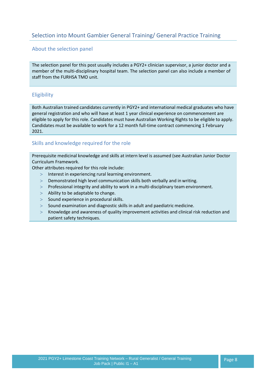# <span id="page-7-0"></span>Selection into Mount Gambier General Training/ General Practice Training

## <span id="page-7-1"></span>About the selection panel

The selection panel for this post usually includes a PGY2+ clinician supervisor, a junior doctor and a member of the multi-disciplinary hospital team. The selection panel can also include a member of staff from the FURHSA TMO unit.

# <span id="page-7-2"></span>Eligibility

Both Australian trained candidates currently in PGY2+ and international medical graduates who have general registration and who will have at least 1 year clinical experience on commencement are eligible to apply for this role. Candidates must have Australian Working Rights to be eligible to apply. Candidates must be available to work for a 12 month full-time contract commencing 1 February 2021.

## <span id="page-7-3"></span>Skills and knowledge required for the role

Prerequisite medicinal knowledge and skills at intern level is assumed (see Australian Junior Doctor Curriculum Framework.

Other attributes required for this role include:

- > Interest in experiencing rural learning environment.
- Demonstrated high level communication skills both verbally and in writing.
- Professional integrity and ability to work in a multi-disciplinary team environment.
- $>$  Ability to be adaptable to change.
- $>$  Sound experience in procedural skills.
- $>$  Sound examination and diagnostic skills in adult and paediatric medicine.
- Knowledge and awareness of quality improvement activities and clinical risk reduction and patient safety techniques.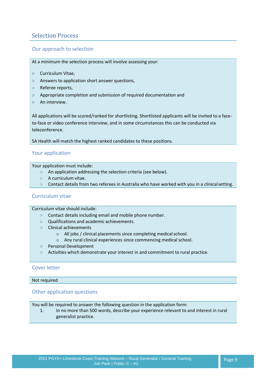# <span id="page-8-0"></span>Selection Process

# <span id="page-8-1"></span>Our approach to selection

At a minimum the selection process will involve assessing your:

- > Curriculum Vitae,
- $>$  Answers to application short answer questions,
- > Referee reports,
- $>$  Appropriate completion and submission of required documentation and
- $>$  An interview.

All applications will be scored/ranked for shortlisting. Shortlisted applicants will be invited to a faceto-face or video conference interview, and in some circumstances this can be conducted via teleconference.

SA Health will match the highest ranked candidates to these positions.

#### <span id="page-8-2"></span>Your application

Your application must include:

- An application addressing the selection criteria (see below).
- $>$  A curriculum vitae.
- Contact details from two referees in Australia who have worked with you in a clinicalsetting.

#### <span id="page-8-3"></span>Curriculum vitae

Curriculum vitae should include:

- $>$  Contact details including email and mobile phone number.
- $>$  Qualifications and academic achievements.
- $>$  Clinical achievements
	- $\circ$  All jobs / clinical placements since completing medical school.
	- o Any rural clinical experiences since commencing medical school.
- > Personal Development
- Activities which demonstrate your interest in and commitment to rural practice.

#### <span id="page-8-4"></span>Cover letter

#### Not required

#### <span id="page-8-5"></span>Other application questions

You will be required to answer the following question in the application form:

1. In no more than 500 words, describe your experience relevant to and interest in rural generalist practice.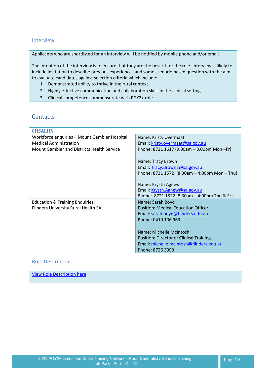#### <span id="page-9-0"></span>Interview

Applicants who are shortlisted for an interview will be notified by mobile phone and/or email.

The intention of the interview is to ensure that they are the best fit for the role. Interview is likely to include invitation to describe previous experiences and some scenario based question with the aim to evaluate candidates against selection criteria which include:

- 1. Demonstrated ability to thrive in the rural context.
- 2. Highly effective communication and collaboration skills in the clinical setting.
- 3. Clinical competence commensurate with PGY2+ role

# <span id="page-9-1"></span>**Contacts**

| <b>CHSALHN</b>                               |                                                  |
|----------------------------------------------|--------------------------------------------------|
| Workforce enquiries - Mount Gambier Hospital | Name: Kristy Overmaat                            |
| <b>Medical Administration</b>                | Email: kristy.overmaat@sa.gov.au                 |
| Mount Gambier and Districts Health Service   | Phone: 8721 1617 (9.00am - 3.00pm Mon - Fr)      |
|                                              |                                                  |
|                                              | Name: Tracy Brown                                |
|                                              | Email: Tracy.Brown2@sa.gov.au                    |
|                                              | Phone: 8721 1572 (8:30am $-$ 4:00pm Mon $-$ Thu) |
|                                              |                                                  |
|                                              | Name: Krystn Agnew                               |
|                                              | Email: Krystn.Agnew@sa.gov.au                    |
|                                              | Phone: 8721 1522 (8:30am $-$ 4:00pm Thu & Fr)    |
| <b>Education &amp; Training Enquiries:</b>   | Name: Sarah Boyd                                 |
| Flinders University Rural Health SA          | <b>Position: Medical Education Officer</b>       |
|                                              | Email: sarah.boyd@flinders.edu.au                |
|                                              | Phone: 0419 106 969                              |
|                                              |                                                  |
|                                              | Name: Michelle McIntosh                          |
|                                              | Position: Director of Clinical Training          |
|                                              | Email: michelle.mcintosh@flinders.edu.au         |
|                                              | Phone: 8726 3999                                 |

## <span id="page-9-2"></span>Role Description

[View Role Description here](https://www.samet.org.au/wp-content/uploads/2017/03/CHSALHN-Trainee-Medical-Officer-Job-Description.pdf)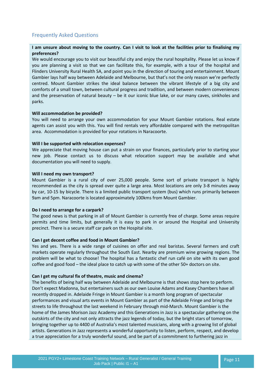# <span id="page-10-0"></span>Frequently Asked Questions

#### **I am unsure about moving to the country. Can I visit to look at the facilities prior to finalising my preferences?**

We would encourage you to visit our beautiful city and enjoy the rural hospitality. Please let us know if you are planning a visit so that we can facilitate this, for example, with a tour of the hospital and Flinders University Rural Health SA, and point you in the direction of touring and entertainment. Mount Gambier lays half way between Adelaide and Melbourne, but that's not the only reason we're perfectly centred. Mount Gambier strikes the ideal balance between the vibrant lifestyle of a big city and comforts of a small town, between cultural progress and tradition, and between modern conveniences and the preservation of natural beauty – be it our iconic blue lake, or our many caves, sinkholes and parks.

#### **Will accommodation be provided?**

You will need to arrange your own accommodation for your Mount Gambier rotations. Real estate agents can assist you with this. You will find rentals very affordable compared with the metropolitan area. Accommodation is provided for your rotations in Naracoorte.

#### **Will I be supported with relocation expenses?**

We appreciate that moving house can put a strain on your finances, particularly prior to starting your new job. Please contact us to discuss what relocation support may be available and what documentation you will need to supply.

#### **Will I need my own transport?**

Mount Gambier is a rural city of over 25,000 people. Some sort of private transport is highly recommended as the city is spread over quite a large area. Most locations are only 3-8 minutes away by car, 10-15 by bicycle. There is a limited public transport system (bus) which runs primarily between 9am and 5pm. Naracoorte is located approximately 100kms from Mount Gambier.

#### **Do I need to arrange for a carpark?**

The good news is that parking in all of Mount Gambier is currently free of charge. Some areas require permits and time limits, but generally it is easy to park in or around the Hospital and University precinct. There is a secure staff car park on the Hospital site.

#### **Can I get decent coffee and food in Mount Gambier?**

Yes and yes. There is a wide range of cuisines on offer and real baristas. Several farmers and craft markets operate regularly throughout the South East. Nearby are premium wine growing regions. The problem will be what to choose! The hospital has a fantastic chef run café on site with its own good coffee and good food – the ideal place to catch up with some of the other 50+ doctors on site.

#### **Can I get my cultural fix of theatre, music and cinema?**

The benefits of being half way between Adelaide and Melbourne is that shows stop here to perform. Don't expect Madonna, but entertainers such as our own Louise Adams and Kasey Chambers have all recently dropped in. Adelaide Fringe in Mount Gambier is a month long program of spectacular performances and visual arts events in Mount Gambier as part of the Adelaide Fringe and brings the streets to life throughout the last weekend in February through mid-March. Mount Gambier is the home of the James Morison Jazz Academy and this Generations in Jazz is a spectacular gathering on the outskirts of the city and not only attracts the jazz legends of today, but the bright stars of tomorrow, bringing together up to 4400 of Australia's most talented musicians, along with a growing list of global artists. Generations in Jazz represents a wonderful opportunity to listen, perform, respect, and develop a true appreciation for a truly wonderful sound, and be part of a commitment to furthering jazz in